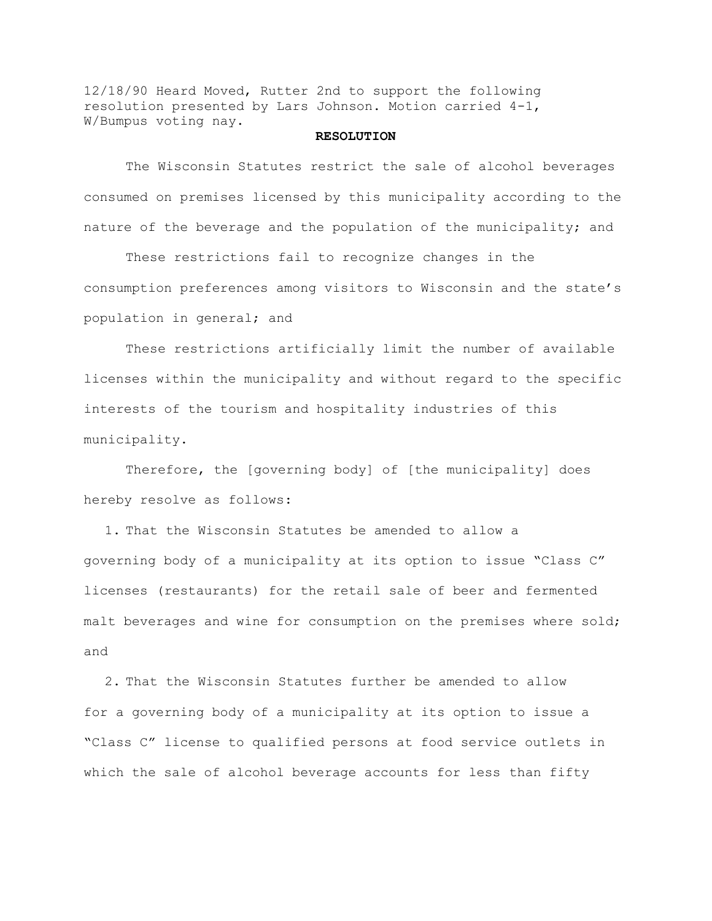12/18/90 Heard Moved, Rutter 2nd to support the following resolution presented by Lars Johnson. Motion carried 4-1, W/Bumpus voting nay.

## **RESOLUTION**

The Wisconsin Statutes restrict the sale of alcohol beverages consumed on premises licensed by this municipality according to the nature of the beverage and the population of the municipality; and

These restrictions fail to recognize changes in the consumption preferences among visitors to Wisconsin and the state's population in general; and

These restrictions artificially limit the number of available licenses within the municipality and without regard to the specific interests of the tourism and hospitality industries of this municipality.

Therefore, the [governing body] of [the municipality] does hereby resolve as follows:

1. That the Wisconsin Statutes be amended to allow a governing body of a municipality at its option to issue "Class C" licenses (restaurants) for the retail sale of beer and fermented malt beverages and wine for consumption on the premises where sold; and

2. That the Wisconsin Statutes further be amended to allow for a governing body of a municipality at its option to issue a "Class C" license to qualified persons at food service outlets in which the sale of alcohol beverage accounts for less than fifty